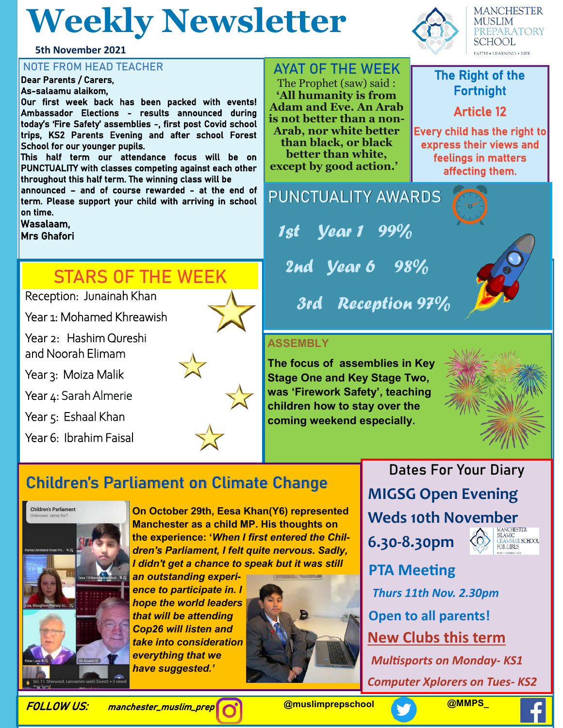## **Weekly Newsletter**

**5th November 2021**

Dear Parents / Carers, As-salaamu alaikom,

Our first week back has been packed with events! Ambassador Elections - results announced during today's 'Fire Safety' assemblies -, first post Covid school trips, KS2 Parents Evening and after school Forest School for our younger pupils.

This half term our attendance focus will be on PUNCTUALITY with classes competing against each other throughout this half term. The winning class will be

announced – and of course rewarded - at the end of term. Please support your child with arriving in school on time.

Wasalaam,

Mrs Ghafori

#### **STARS OF THE WEEK**

Reception: Junainah Khan

Year 1: Mohamed Khreawish

Year 2: Hashim Qureshi and Noorah Elimam

Year 3: Moiza Malik

Year 4: Sarah Almerie

Year 5: Eshaal Khan

Year 6: Ibrahim Faisal



NOTE FROM HEAD TEACHER **AYAT OF THE WEEK** The Prophet (saw) said : **'All humanity is from** 

> **Adam and Eve. An Arab is not better than a non-Arab, nor white better than black, or black better than white,**

**except by good action.'** 

**PUNCTUALITY AWARDS**

1st Year 1 99%

2nd *Year 6* 98%

3rd Reception 97%

#### **ASSEMBLY**

**The focus of assemblies in Key Stage One and Key Stage Two, was 'Firework Safety', teaching children how to stay over the coming weekend especially.**

> **Dates For Your Diary MIGSG Open Evening**  Weds 10th November

**6.30-8.30pm**



**PTA Meeting** *Thurs 11th Nov. 2.30pm* **Open to all parents! New Clubs this term** *Multisports on Monday- KS1*

*Computer Xplorers on Tues- KS2*

**MANCHESTER** MUSLIM **PREPARATORY SCHOOL FAITH . LEARNING . LIFE** 

## Fortnight

Article 12

Every child has the right to express their views and feelings in matters affecting them.





### **Children's Parliament on Climate Change**



**On October 29th, Eesa Khan(Y6) represented Manchester as a child MP. His thoughts on the experience: '***When I first entered the Children's Parliament, I felt quite nervous. Sadly, I didn't get a chance to speak but it was still* 

*an outstanding experience to participate in. I hope the world leaders that will be attending Cop26 will listen and take into consideration everything that we have suggested.'*